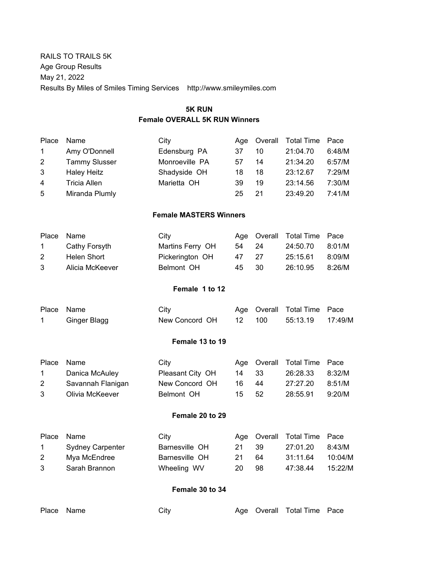RAILS TO TRAILS 5K Age Group Results May 21, 2022 Results By Miles of Smiles Timing Services http://www.smileymiles.com

# **5K RUN**

# **Female OVERALL 5K RUN Winners**

| Place        | Name                 | City           | Aae |    | Overall Total Time | Pace   |
|--------------|----------------------|----------------|-----|----|--------------------|--------|
| $\mathbf 1$  | Amy O'Donnell        | Edensburg PA   | 37  | 10 | 21:04.70           | 6:48/M |
| $\mathbf{2}$ | <b>Tammy Slusser</b> | Monroeville PA | 57  | 14 | 21:34.20           | 6:57/M |
| 3            | Haley Heitz          | Shadyside OH   | 18  | 18 | 23:12.67           | 7:29/M |
| 4            | Tricia Allen         | Marietta OH    | 39  | 19 | 23:14.56           | 7:30/M |
| 5            | Miranda Plumly       |                | 25  | 21 | 23:49.20           | 7:41/M |
|              |                      |                |     |    |                    |        |

# **Female MASTERS Winners**

| Place Name    |                 | City             |       | Age Overall Total Time Pace |        |
|---------------|-----------------|------------------|-------|-----------------------------|--------|
| $1 \quad$     | Cathy Forsyth   | Martins Ferry OH | 54 24 | 24:50.70                    | 8:01/M |
| 2             | Helen Short     | Pickerington OH  | 47 27 | 25:15.61                    | 8:09/M |
| $\mathcal{S}$ | Alicia McKeever | Belmont OH       | 45 30 | 26:10.95                    | 8:26/M |

# **Female 1 to 12**

| Place Name   | City           |        | Age Overall Total Time Pace |  |
|--------------|----------------|--------|-----------------------------|--|
| Ginger Blagg | New Concord OH | 12 100 |                             |  |

#### **Female 13 to 19**

| Place Name    |                   | City             |       | Age Overall Total Time Pace |        |
|---------------|-------------------|------------------|-------|-----------------------------|--------|
| $\mathbf{1}$  | Danica McAuley    | Pleasant City OH | 14 33 | 26:28.33                    | 8:32/M |
| 2             | Savannah Flanigan | New Concord OH   | 16 44 | 27:27.20                    | 8:51/M |
| $\mathcal{B}$ | Olivia McKeever   | Belmont OH       | 15 52 | 28:55.91                    | 9:20/M |

# **Female 20 to 29**

| Place Name    |                  | City           |       |    | Age Overall Total Time Pace |         |
|---------------|------------------|----------------|-------|----|-----------------------------|---------|
| $\sim$ 1      | Sydney Carpenter | Barnesville OH | 21 39 |    | 27:01.20                    | 8:43/M  |
| 2             | Mya McEndree     | Barnesville OH | 21    | 64 | 31:11.64                    | 10:04/M |
| $\mathcal{B}$ | Sarah Brannon    | Wheeling WV    | 20    | 98 | 47:38.44                    | 15:22/M |

# **Female 30 to 34**

| Place Name | City |  | Age Overall Total Time Pace |  |
|------------|------|--|-----------------------------|--|
|            |      |  |                             |  |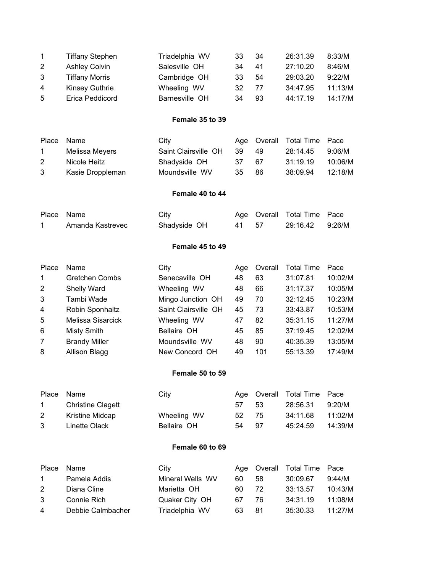| $\mathbf 1$ | <b>Tiffany Stephen</b> | Triadelphia WV | 33 | 34 | 26:31.39 | 8:33/M  |
|-------------|------------------------|----------------|----|----|----------|---------|
| 2           | <b>Ashley Colvin</b>   | Salesville OH  | 34 | 41 | 27:10.20 | 8:46/M  |
| 3           | <b>Tiffany Morris</b>  | Cambridge OH   | 33 | 54 | 29:03.20 | 9:22/M  |
| 4           | Kinsey Guthrie         | Wheeling WV    | 32 | 77 | 34:47.95 | 11:13/M |
| 5           | Erica Peddicord        | Barnesville OH | 34 | 93 | 44:17.19 | 14:17/M |

# **Female 35 to 39**

| Place Name   |                  | City                 |       | Age Overall Total Time Pace |         |
|--------------|------------------|----------------------|-------|-----------------------------|---------|
| $\mathbf{1}$ | Melissa Meyers   | Saint Clairsville OH | 39 49 | 28:14.45                    | 9:06/M  |
| 2            | Nicole Heitz     | Shadyside OH         | 37 67 | 31:19.19                    | 10:06/M |
| 3            | Kasie Droppleman | Moundsville WV       | 35 86 | 38:09.94                    | 12:18/M |

# **Female 40 to 44**

| Place Name       | City         |       | Age Overall Total Time Pace |  |
|------------------|--------------|-------|-----------------------------|--|
| Amanda Kastrevec | Shadyside OH | 41 57 | 29:16.42 9:26/M             |  |

# **Female 45 to 49**

| Place          | Name                  | City                 | Aae | Overall | <b>Total Time</b> | Pace    |
|----------------|-----------------------|----------------------|-----|---------|-------------------|---------|
| $\mathbf{1}$   | <b>Gretchen Combs</b> | Senecaville OH       | 48  | 63      | 31:07.81          | 10:02/M |
| $\overline{2}$ | Shelly Ward           | Wheeling WV          | 48  | 66      | 31:17.37          | 10:05/M |
| 3              | Tambi Wade            | Mingo Junction OH    | 49  | 70      | 32:12.45          | 10:23/M |
| $\overline{4}$ | Robin Sponhaltz       | Saint Clairsville OH | 45  | 73      | 33:43.87          | 10:53/M |
| 5              | Melissa Sisarcick     | Wheeling WV          | 47  | 82      | 35:31.15          | 11:27/M |
| 6              | Misty Smith           | Bellaire OH          | 45  | 85      | 37:19.45          | 12:02/M |
| 7              | <b>Brandy Miller</b>  | Moundsville WV       | 48  | 90      | 40:35.39          | 13:05/M |
| 8              | Allison Blagg         | New Concord OH       | 49  | 101     | 55:13.39          | 17:49/M |

#### **Female 50 to 59**

|               | Place Name               | City        |       | Age Overall Total Time Pace |         |
|---------------|--------------------------|-------------|-------|-----------------------------|---------|
| $\sim$ 1      | <b>Christine Clagett</b> |             | 57 53 | 28:56.31 9:20/M             |         |
| 2             | Kristine Midcap          | Wheeling WV | 52 75 | 34:11.68                    | 11:02/M |
| $\mathcal{B}$ | Linette Olack            | Bellaire OH | 54 97 | 45:24.59                    | 14:39/M |

#### **Female 60 to 69**

| Place Name   |                   | City             |     |     | Age Overall Total Time Pace |         |
|--------------|-------------------|------------------|-----|-----|-----------------------------|---------|
| $\mathbf{1}$ | Pamela Addis      | Mineral Wells WV | 60. | -58 | 30:09.67                    | 9:44/M  |
| 2            | Diana Cline       | Marietta OH      | 60. | -72 | 33:13.57                    | 10:43/M |
| 3            | Connie Rich       | Quaker City OH   | 67  | -76 | 34:31.19                    | 11:08/M |
| 4            | Debbie Calmbacher | Triadelphia WV   | 63. | -81 | 35:30.33                    | 11:27/M |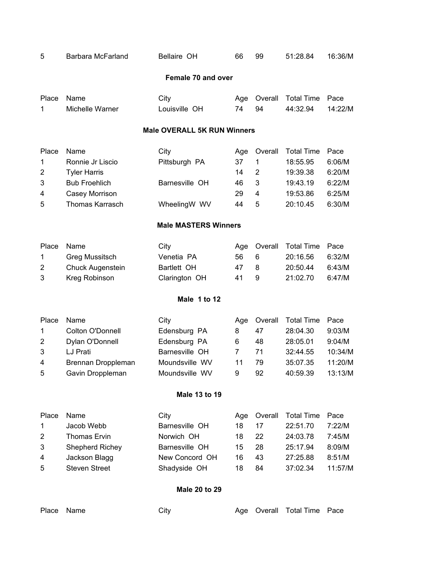| 5                              | Barbara McFarland                                                                                                   | Bellaire OH                                                                                | 66                                | 99                                         | 51:28.84                                                                      | 16:36/M                                                   |  |  |
|--------------------------------|---------------------------------------------------------------------------------------------------------------------|--------------------------------------------------------------------------------------------|-----------------------------------|--------------------------------------------|-------------------------------------------------------------------------------|-----------------------------------------------------------|--|--|
| Female 70 and over             |                                                                                                                     |                                                                                            |                                   |                                            |                                                                               |                                                           |  |  |
| Place<br>1                     | Name<br>Michelle Warner                                                                                             | City<br>Louisville OH                                                                      | Age<br>74                         | Overall<br>94                              | <b>Total Time</b><br>44:32.94                                                 | Pace<br>14:22/M                                           |  |  |
|                                |                                                                                                                     | <b>Male OVERALL 5K RUN Winners</b>                                                         |                                   |                                            |                                                                               |                                                           |  |  |
| Place<br>1<br>2<br>3<br>4<br>5 | Name<br>Ronnie Jr Liscio<br><b>Tyler Harris</b><br><b>Bub Froehlich</b><br>Casey Morrison<br><b>Thomas Karrasch</b> | City<br>Pittsburgh PA<br>Barnesville OH<br>WheelingW WV                                    | Age<br>37<br>14<br>46<br>29<br>44 | Overall<br>$\mathbf 1$<br>2<br>3<br>4<br>5 | <b>Total Time</b><br>18:55.95<br>19:39.38<br>19:43.19<br>19:53.86<br>20:10.45 | Pace<br>6:06/M<br>6:20/M<br>6:22/M<br>6:25/M<br>6:30/M    |  |  |
| <b>Male MASTERS Winners</b>    |                                                                                                                     |                                                                                            |                                   |                                            |                                                                               |                                                           |  |  |
| Place<br>1<br>2<br>3           | Name<br><b>Greg Mussitsch</b><br><b>Chuck Augenstein</b><br>Kreg Robinson                                           | City<br>Venetia PA<br>Bartlett OH<br>Clarington OH<br>Male 1 to 12                         | Age<br>56<br>47<br>41             | Overall<br>6<br>8<br>9                     | <b>Total Time</b><br>20:16.56<br>20:50.44<br>21:02.70                         | Pace<br>6:32/M<br>6:43/M<br>6:47/M                        |  |  |
| Place<br>1<br>2<br>3<br>4<br>5 | Name<br>Colton O'Donnell<br>Dylan O'Donnell<br>LJ Prati<br>Brennan Droppleman<br>Gavin Droppleman                   | City<br>Edensburg PA<br>Edensburg PA<br>Barnesville OH<br>Moundsville WV<br>Moundsville WV | Age<br>8<br>6<br>7<br>11<br>9     | Overall<br>47<br>48<br>71<br>79<br>92      | <b>Total Time</b><br>28:04.30<br>28:05.01<br>32:44.55<br>35:07.35<br>40:59.39 | Pace<br>9:03/M<br>9:04/M<br>10:34/M<br>11:20/M<br>13:13/M |  |  |
|                                |                                                                                                                     | Male 13 to 19                                                                              |                                   |                                            |                                                                               |                                                           |  |  |
| Place<br>1<br>2<br>3<br>4<br>5 | Name<br>Jacob Webb<br>Thomas Ervin<br>Shepherd Richey<br>Jackson Blagg<br><b>Steven Street</b>                      | City<br>Barnesville OH<br>Norwich OH<br>Barnesville OH<br>New Concord OH<br>Shadyside OH   | Age<br>18<br>18<br>15<br>16<br>18 | Overall<br>17<br>22<br>28<br>43<br>84      | <b>Total Time</b><br>22:51.70<br>24:03.78<br>25:17.94<br>27:25.88<br>37:02.34 | Pace<br>7:22/M<br>7:45/M<br>8:09/M<br>8:51/M<br>11:57/M   |  |  |
|                                |                                                                                                                     | Male 20 to 29                                                                              |                                   |                                            |                                                                               |                                                           |  |  |

# Place Name **Age Overall Total Time Pace** City **Age Overall Total Time Pace**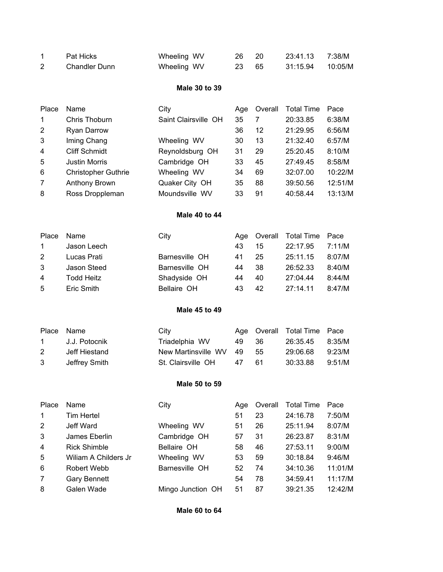| Pat Hicks     | Wheeling WV | 26 20 |  |  |
|---------------|-------------|-------|--|--|
| Chandler Dunn | Wheeling WV | 23 65 |  |  |

# **Male 30 to 39**

| Place          | Name                       | City                 | Age | Overall | <b>Total Time</b> | Pace    |
|----------------|----------------------------|----------------------|-----|---------|-------------------|---------|
| $\mathbf 1$    | Chris Thoburn              | Saint Clairsville OH | 35  |         | 20:33.85          | 6:38/M  |
| 2              | Ryan Darrow                |                      | 36  | 12      | 21:29.95          | 6:56/M  |
| 3              | Iming Chang                | Wheeling WV          | 30  | 13      | 21:32.40          | 6:57/M  |
| $\overline{4}$ | <b>Cliff Schmidt</b>       | Reynoldsburg OH      | 31  | 29      | 25:20.45          | 8:10/M  |
| 5              | <b>Justin Morris</b>       | Cambridge OH         | 33  | 45      | 27:49.45          | 8:58/M  |
| 6              | <b>Christopher Guthrie</b> | Wheeling WV          | 34  | 69      | 32:07.00          | 10:22/M |
| $\overline{7}$ | Anthony Brown              | Quaker City OH       | 35  | 88      | 39:50.56          | 12:51/M |
| 8              | Ross Droppleman            | Moundsville WV       | 33  | 91      | 40:58.44          | 13:13/M |

## **Male 40 to 44**

| Place          | Name        | City           |    |    | Age Overall Total Time Pace |        |
|----------------|-------------|----------------|----|----|-----------------------------|--------|
| $\overline{1}$ | Jason Leech |                | 43 | 15 | 22:17.95                    | 7:11/M |
| 2              | Lucas Prati | Barnesville OH | 41 | 25 | 25:11.15                    | 8:07/M |
| 3              | Jason Steed | Barnesville OH | 44 | 38 | 26:52.33                    | 8:40/M |
| 4              | Todd Heitz  | Shadyside OH   | 44 | 40 | 27:04.44                    | 8:44/M |
| 5              | Eric Smith  | Bellaire OH    | 43 | 42 | $27.14$ 11                  | 8:47/M |

### **Male 45 to 49**

|   | Place Name      | City                      |       | Age Overall Total Time Pace |        |
|---|-----------------|---------------------------|-------|-----------------------------|--------|
|   | 1 J.J. Potocnik | Triadelphia WV            | 49 36 | 26:35.45 8:35/M             |        |
| 2 | Jeff Hiestand   | New Martinsville WV 49 55 |       | 29:06.68                    | 9:23/M |
| 3 | Jeffrey Smith   | St. Clairsville OH 47 61  |       | 30:33.88 9:51/M             |        |

#### **Male 50 to 59**

| Place          | Name                  | City              | Age | Overall | <b>Total Time</b> | Pace    |
|----------------|-----------------------|-------------------|-----|---------|-------------------|---------|
| 1              | <b>Tim Hertel</b>     |                   | 51  | 23      | 24:16.78          | 7:50/M  |
| 2              | Jeff Ward             | Wheeling WV       | 51  | 26      | 25:11.94          | 8:07/M  |
| $\mathbf{3}$   | James Eberlin         | Cambridge OH      | 57  | 31      | 26:23.87          | 8:31/M  |
| $\overline{4}$ | <b>Rick Shimble</b>   | Bellaire OH       | 58  | 46      | 27:53.11          | 9:00/M  |
| 5              | William A Childers Jr | Wheeling WV       | 53  | 59      | 30:18.84          | 9:46/M  |
| 6              | Robert Webb           | Barnesville OH    | 52  | 74      | 34:10.36          | 11:01/M |
| $\overline{7}$ | <b>Gary Bennett</b>   |                   | 54  | 78      | 34:59.41          | 11:17/M |
| 8              | Galen Wade            | Mingo Junction OH | 51  | 87      | 39:21.35          | 12:42/M |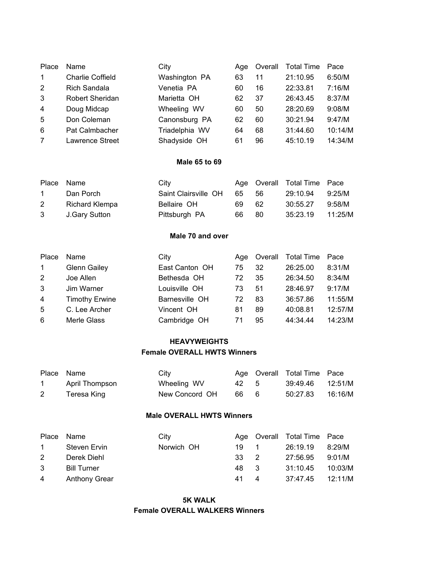| Place          | Name                    | City           | Age | Overall | <b>Total Time</b> | Pace    |
|----------------|-------------------------|----------------|-----|---------|-------------------|---------|
| $\mathbf{1}$   | <b>Charlie Coffield</b> | Washington PA  | 63  | 11      | 21:10.95          | 6:50/M  |
| 2              | Rich Sandala            | Venetia PA     | 60  | 16      | 22:33.81          | 7:16/M  |
| 3              | <b>Robert Sheridan</b>  | Marietta OH    | 62  | 37      | 26:43.45          | 8:37/M  |
| $\overline{4}$ | Doug Midcap             | Wheeling WV    | 60  | 50      | 28:20.69          | 9:08/M  |
| 5              | Don Coleman             | Canonsburg PA  | 62  | 60      | 30:21.94          | 9:47/M  |
| 6              | Pat Calmbacher          | Triadelphia WV | 64  | 68      | 31:44.60          | 10:14/M |
|                | <b>Lawrence Street</b>  | Shadyside OH   | 61  | 96      | 45:10.19          | 14:34/M |

#### **Male 65 to 69**

| Place Name   |                 | City                 |       | Age Overall Total Time Pace |        |
|--------------|-----------------|----------------------|-------|-----------------------------|--------|
| $\mathbf{1}$ | Dan Porch       | Saint Clairsville OH | 65 56 | 29:10.94 9:25/M             |        |
| 2            | Richard Klempa  | Bellaire OH          | 69 62 | 30:55.27                    | 9:58/M |
|              | 3 J.Gary Sutton | Pittsburgh PA        | 66 80 | 35:23.19 11:25/M            |        |

# **Male 70 and over**

| Place       | Name                  | City           | Aae | Overall | Total Time | Pace    |
|-------------|-----------------------|----------------|-----|---------|------------|---------|
| $\mathbf 1$ | <b>Glenn Gailey</b>   | East Canton OH | 75  | 32      | 26:25.00   | 8:31/M  |
| 2           | Joe Allen             | Bethesda OH    | 72  | 35      | 26:34.50   | 8:34/M  |
| 3           | Jim Warner            | Louisville OH  | 73  | 51      | 28:46.97   | 9:17/M  |
| 4           | <b>Timothy Erwine</b> | Barnesville OH | 72  | 83      | 36:57.86   | 11:55/M |
| 5           | C. Lee Archer         | Vincent OH     | 81  | 89      | 40:08.81   | 12:57/M |
| 6           | Merle Glass           | Cambridge OH   | 71  | 95      | 44:34.44   | 14:23/M |

# **HEAVYWEIGHTS Female OVERALL HWTS Winners**

| Place Name   |                | City           |      | Age Overall Total Time Pace |  |
|--------------|----------------|----------------|------|-----------------------------|--|
| $\mathbf{1}$ | April Thompson | Wheeling WV    | 42 5 | 39:49.46 12:51/M            |  |
|              | Teresa King    | New Concord OH | 66 6 |                             |  |

#### **Male OVERALL HWTS Winners**

| Place Name |                    | City       |      | Age Overall Total Time Pace |         |
|------------|--------------------|------------|------|-----------------------------|---------|
| $\sim$ 1   | Steven Ervin       | Norwich OH | 19 1 | 26:19.19                    | 8:29/M  |
| 2          | Derek Diehl        |            | 33 2 | 27:56.95                    | 9:01/M  |
| 3          | <b>Bill Turner</b> |            | 48 3 | 31:10.45                    | 10:03/M |
| 4          | Anthony Grear      |            | 41 4 | 37:47.45 12:11/M            |         |

**5K WALK Female OVERALL WALKERS Winners**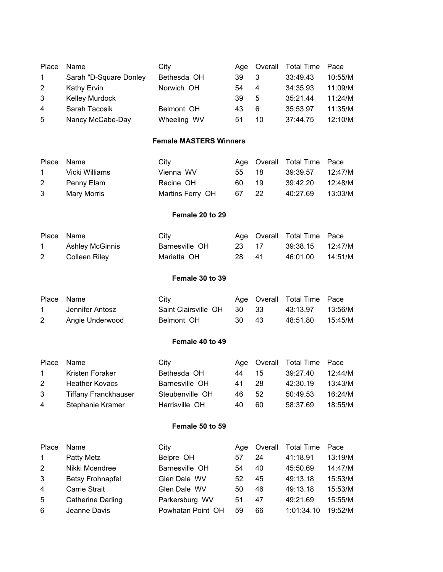| Place          | Name                   | City        |    | Age Overall | Total Time Pace |         |
|----------------|------------------------|-------------|----|-------------|-----------------|---------|
| $\mathbf{1}$   | Sarah "D-Square Donley | Bethesda OH | 39 | 3           | 33:49.43        | 10:55/M |
| 2              | Kathy Ervin            | Norwich OH  | 54 | 4           | 34:35.93        | 11:09/M |
| 3              | <b>Kelley Murdock</b>  |             | 39 | 5           | 35:21.44        | 11:24/M |
| $\overline{4}$ | Sarah Tacosik          | Belmont OH  | 43 | 6           | 35:53.97        | 11:35/M |
| 5              | Nancy McCabe-Day       | Wheeling WV | 51 | 10          | 37:44.75        | 12:10/M |

# **Female MASTERS Winners**

| Place Name   |                | City             |       | Age Overall Total Time Pace |         |
|--------------|----------------|------------------|-------|-----------------------------|---------|
| $\mathbf{1}$ | Vicki Williams | Vienna WV        | 55 18 | 39:39.57 12:47/M            |         |
| 2            | Penny Elam     | Racine OH        | 60 19 | 39:42.20                    | 12:48/M |
| 3            | Mary Morris    | Martins Ferry OH | 67 22 | 40:27.69                    | 13:03/M |

## **Female 20 to 29**

| Place Name |                 | City           |       | Age Overall Total Time Pace |         |
|------------|-----------------|----------------|-------|-----------------------------|---------|
|            | Ashley McGinnis | Barnesville OH | 23 17 | 39:38.15 12:47/M            |         |
|            | Colleen Rilev   | Marietta OH    | 28 41 | 46:01.00                    | 14:51/M |

# **Female 30 to 39**

| Place Name  |                 | City                       |       | Age Overall Total Time Pace |         |
|-------------|-----------------|----------------------------|-------|-----------------------------|---------|
| $\mathbf 1$ | Jennifer Antosz | Saint Clairsville OH 30 33 |       | 43:13.97                    | 13:56/M |
|             | Angie Underwood | Belmont OH                 | 30 43 | 48:51.80                    | 15:45/M |

# **Female 40 to 49**

| Place  | Name                        | City            |     |    | Age Overall Total Time Pace |         |
|--------|-----------------------------|-----------------|-----|----|-----------------------------|---------|
| $\sim$ | Kristen Foraker             | Bethesda OH     | 44  | 15 | 39:27.40                    | 12:44/M |
| 2      | <b>Heather Kovacs</b>       | Barnesville OH  | 41  | 28 | 42:30.19                    | 13:43/M |
| 3      | <b>Tiffany Franckhauser</b> | Steubenville OH | 46. | 52 | 50:49.53                    | 16:24/M |
| 4      | Stephanie Kramer            | Harrisville OH  | 40  | 60 | 58:37.69                    | 18:55/M |

# **Female 50 to 59**

| Place          | Name                     | City              | Aae | Overall | <b>Total Time</b> | Pace    |
|----------------|--------------------------|-------------------|-----|---------|-------------------|---------|
| $\overline{1}$ | Patty Metz               | Belpre OH         | 57  | 24      | 41:18.91          | 13:19/M |
| 2              | Nikki Mcendree           | Barnesville OH    | 54  | 40      | 45:50.69          | 14:47/M |
| 3              | <b>Betsy Frohnapfel</b>  | Glen Dale WV      | 52  | 45      | 49:13.18          | 15:53/M |
| $\overline{4}$ | <b>Carrie Strait</b>     | Glen Dale WV      | 50  | 46      | 49:13.18          | 15:53/M |
| 5              | <b>Catherine Darling</b> | Parkersburg WV    | 51  | 47      | 49:21.69          | 15:55/M |
| -6             | Jeanne Davis             | Powhatan Point OH | 59  | 66      | 1:01:34.10        | 19:52/M |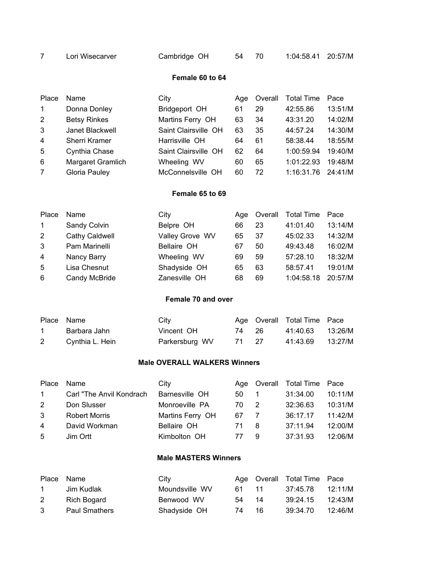|  | Lori Wisecarver | Cambridge OH |  | 54 70 | 1:04:58.41 20:57/M |  |
|--|-----------------|--------------|--|-------|--------------------|--|
|--|-----------------|--------------|--|-------|--------------------|--|

#### **Female 60 to 64**

| Place          | Name                 | City                 | Aae | Overall | <b>Total Time</b> | Pace    |
|----------------|----------------------|----------------------|-----|---------|-------------------|---------|
| $\mathbf{1}$   | Donna Donley         | Bridgeport OH        | 61  | 29      | 42:55.86          | 13:51/M |
| 2              | <b>Betsy Rinkes</b>  | Martins Ferry OH     | 63  | 34      | 43:31.20          | 14:02/M |
| 3              | Janet Blackwell      | Saint Clairsville OH | 63  | 35      | 44:57.24          | 14:30/M |
| $\overline{4}$ | <b>Sherri Kramer</b> | Harrisville OH       | 64  | 61      | 58:38.44          | 18:55/M |
| 5              | Cynthia Chase        | Saint Clairsville OH | 62  | 64      | 1:00:59.94        | 19:40/M |
| 6              | Margaret Gramlich    | Wheeling WV          | 60  | 65      | 1:01:22.93        | 19:48/M |
| 7              | Gloria Pauley        | McConnelsville OH    | 60  | 72      | 1:16:31.76        | 24:41/M |

# **Female 65 to 69**

| Place          | Name           | City            |    | Age Overall | Total Time | Pace    |
|----------------|----------------|-----------------|----|-------------|------------|---------|
| $\mathbf{1}$   | Sandy Colvin   | Belpre OH       | 66 | 23          | 41:01.40   | 13:14/M |
| 2              | Cathy Caldwell | Valley Grove WV | 65 | 37          | 45:02.33   | 14:32/M |
| 3              | Pam Marinelli  | Bellaire OH     | 67 | 50          | 49:43.48   | 16:02/M |
| $\overline{4}$ | Nancy Barry    | Wheeling WV     | 69 | 59          | 57:28.10   | 18:32/M |
| 5              | Lisa Chesnut   | Shadyside OH    | 65 | 63          | 58:57.41   | 19:01/M |
| 6              | Candy McBride  | Zanesville OH   | 68 | 69          | 1:04:58.18 | 20:57/M |

# **Female 70 and over**

| Place Name      | City           |       | Age Overall Total Time Pace |  |
|-----------------|----------------|-------|-----------------------------|--|
| Barbara Jahn    | Vincent OH     | 74 26 |                             |  |
| Cynthia L. Hein | Parkersburg WV | 71 27 | 41:43.69 13:27/M            |  |

# **Male OVERALL WALKERS Winners**

| Place        | Name                      | City             |     |    | Age Overall Total Time Pace |         |
|--------------|---------------------------|------------------|-----|----|-----------------------------|---------|
| $\mathbf{1}$ | Carl "The Anvil Kondrach" | Barnesville OH   | 50. |    | 31:34.00                    | 10:11/M |
| 2            | Don Slusser               | Monroeville PA   | 70  | 2  | 32:36.63                    | 10:31/M |
| 3            | <b>Robert Morris</b>      | Martins Ferry OH | 67  |    | 36:17.17                    | 11:42/M |
| 4            | David Workman             | Bellaire OH      | 71  | -8 | 37:11.94                    | 12:00/M |
| -5           | Jim Ortt                  | Kimbolton OH     | 77  | 9  | 37:31.93                    | 12:06/M |

# **Male MASTERS Winners**

| Place Name   |                      | City           |       |    | Age Overall Total Time Pace |         |
|--------------|----------------------|----------------|-------|----|-----------------------------|---------|
| $\mathbf{1}$ | Jim Kudlak           | Moundsville WV | 61 11 |    | 37:45.78                    | 12:11/M |
| 2            | Rich Bogard          | Benwood WV     | 54 14 |    | 39:24.15                    | 12:43/M |
| 3            | <b>Paul Smathers</b> | Shadyside OH   | 74 —  | 16 | 39:34.70                    | 12:46/M |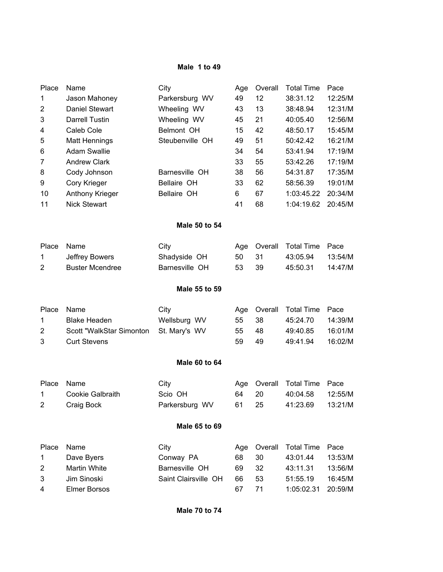#### **Male 1 to 49**

| Place                   | Name                     | City                 | Age | Overall | <b>Total Time</b> | Pace    |  |  |
|-------------------------|--------------------------|----------------------|-----|---------|-------------------|---------|--|--|
| 1                       | Jason Mahoney            | Parkersburg WV       | 49  | 12      | 38:31.12          | 12:25/M |  |  |
| 2                       | Daniel Stewart           | Wheeling WV          | 43  | 13      | 38:48.94          | 12:31/M |  |  |
| 3                       | Darrell Tustin           | Wheeling WV          | 45  | 21      | 40:05.40          | 12:56/M |  |  |
| 4                       | Caleb Cole               | Belmont OH           | 15  | 42      | 48:50.17          | 15:45/M |  |  |
| 5                       | <b>Matt Hennings</b>     | Steubenville OH      | 49  | 51      | 50:42.42          | 16:21/M |  |  |
| 6                       | <b>Adam Swallie</b>      |                      | 34  | 54      | 53:41.94          | 17:19/M |  |  |
| 7                       | <b>Andrew Clark</b>      |                      | 33  | 55      | 53:42.26          | 17:19/M |  |  |
| 8                       | Cody Johnson             | Barnesville OH       | 38  | 56      | 54:31.87          | 17:35/M |  |  |
| 9                       | Cory Krieger             | Bellaire OH          | 33  | 62      | 58:56.39          | 19:01/M |  |  |
| 10                      | Anthony Krieger          | Bellaire OH          | 6   | 67      | 1:03:45.22        | 20:34/M |  |  |
| 11                      | <b>Nick Stewart</b>      |                      | 41  | 68      | 1:04:19.62        | 20:45/M |  |  |
| Male 50 to 54           |                          |                      |     |         |                   |         |  |  |
| Place                   | Name                     | City                 | Age | Overall | <b>Total Time</b> | Pace    |  |  |
| 1                       | Jeffrey Bowers           | Shadyside OH         | 50  | 31      | 43:05.94          | 13:54/M |  |  |
| 2                       | <b>Buster Mcendree</b>   | Barnesville OH       | 53  | 39      | 45:50.31          | 14:47/M |  |  |
|                         |                          |                      |     |         |                   |         |  |  |
|                         |                          | Male 55 to 59        |     |         |                   |         |  |  |
| Place                   | Name                     | City                 | Age | Overall | <b>Total Time</b> | Pace    |  |  |
| 1                       | <b>Blake Headen</b>      | Wellsburg WV         | 55  | 38      | 45:24.70          | 14:39/M |  |  |
| $\overline{2}$          | Scott "WalkStar Simonton | St. Mary's WV        | 55  | 48      | 49:40.85          | 16:01/M |  |  |
| 3                       | <b>Curt Stevens</b>      |                      | 59  | 49      | 49:41.94          | 16:02/M |  |  |
|                         |                          | <b>Male 60 to 64</b> |     |         |                   |         |  |  |
|                         |                          |                      |     |         |                   |         |  |  |
| Place                   | Name                     | City                 | Age | Overall | <b>Total Time</b> | Pace    |  |  |
| 1                       | Cookie Galbraith         | Scio OH              | 64  | 20      | 40:04.58          | 12:55/M |  |  |
| 2                       | Craig Bock               | Parkersburg WV       | 61  | 25      | 41:23.69          | 13:21/M |  |  |
| Male 65 to 69           |                          |                      |     |         |                   |         |  |  |
| Place                   | Name                     | City                 | Age | Overall | <b>Total Time</b> | Pace    |  |  |
| 1                       | Dave Byers               | Conway PA            | 68  | 30      | 43:01.44          | 13:53/M |  |  |
| $\overline{\mathbf{c}}$ | Martin White             | Barnesville OH       | 69  | 32      | 43:11.31          | 13:56/M |  |  |
| 3                       | Jim Sinoski              | Saint Clairsville OH | 66  | 53      | 51:55.19          | 16:45/M |  |  |
| 4                       | <b>Elmer Borsos</b>      |                      | 67  | 71      | 1:05:02.31        | 20:59/M |  |  |
|                         |                          |                      |     |         |                   |         |  |  |